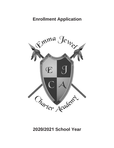## **Enrollment Application**



### **2020/2021 School Year**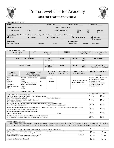

# Emma Jewel Charter Academy

### STUDENT REGISTRATION FORM



### FOR SCHOOL USE ONLY

| <b>District</b>                                                                                                   |                |              | <b>School Year</b> |                               | <b>School Number</b>   |                              | <b>Grade Level</b>        |                   |
|-------------------------------------------------------------------------------------------------------------------|----------------|--------------|--------------------|-------------------------------|------------------------|------------------------------|---------------------------|-------------------|
| <b>District Student Number</b>                                                                                    |                |              |                    | <b>Florida Student Number</b> |                        |                              |                           |                   |
| <b>Entry Information:</b>                                                                                         | ECode          | <b>EDate</b> |                    | <b>Prior School Status:</b>   |                        | <b>District</b><br><b>PD</b> | <b>State</b><br><b>PS</b> | Country           |
| Verification of: Check all applicable boxes and state type of verification given (i.e. Birth – Birth Certificate) |                |              |                    |                               |                        |                              |                           |                   |
| <b>Birth</b>                                                                                                      | <b>Address</b> |              |                    | <b>Physical Exam</b>          |                        | Immunization                 |                           | Complete          |
|                                                                                                                   |                |              |                    |                               |                        |                              |                           | Incomplete        |
| Assignment:                                                                                                       |                |              |                    |                               | <b>Transportation:</b> |                              |                           |                   |
| Homeroom/Teacher                                                                                                  |                | Counselor    |                    | Locker                        | <b>Special Needs</b>   |                              | <b>Bus/Car</b>            | <b>Bus Number</b> |
|                                                                                                                   |                |              |                    |                               |                        |                              |                           |                   |
|                                                                                                                   |                |              |                    |                               |                        |                              |                           |                   |

STUDENT INFORMATION

| <b>APP</b><br><b>LAST NAME</b><br>(Legal)                                                           |                                                                                                                                          | <b>FIRST NAME</b><br>(Legal) |                                                            | <b>MIDDLE</b>                     |                | <b>NAME STUDENT</b><br><b>GOES BY</b> |                                    |  | <b>FORMER NAME</b><br>(Legal)                      |  |                                                            |                                                                                                                                                                                     |  |
|-----------------------------------------------------------------------------------------------------|------------------------------------------------------------------------------------------------------------------------------------------|------------------------------|------------------------------------------------------------|-----------------------------------|----------------|---------------------------------------|------------------------------------|--|----------------------------------------------------|--|------------------------------------------------------------|-------------------------------------------------------------------------------------------------------------------------------------------------------------------------------------|--|
|                                                                                                     |                                                                                                                                          |                              |                                                            |                                   |                |                                       |                                    |  |                                                    |  |                                                            |                                                                                                                                                                                     |  |
| <b>RESIDENTIAL ADDRESS</b>                                                                          |                                                                                                                                          |                              |                                                            | APT.<br><b>NUMBER</b>             |                | <b>CITY</b>                           | <b>STATE</b>                       |  | <b>ZIP</b><br><b>CODE</b>                          |  | <b>HOME PHONE</b>                                          |                                                                                                                                                                                     |  |
|                                                                                                     |                                                                                                                                          |                              |                                                            |                                   |                |                                       |                                    |  |                                                    |  |                                                            |                                                                                                                                                                                     |  |
| <b>MAILING ADDRESS</b>                                                                              |                                                                                                                                          |                              | APT.<br><b>NUMBER</b>                                      |                                   |                | <b>CITY</b>                           | <b>STATE</b>                       |  | <b>ZIP</b><br><b>CODE</b>                          |  | <b>STUDENT</b><br>Social Security # (optional)             |                                                                                                                                                                                     |  |
|                                                                                                     |                                                                                                                                          |                              |                                                            |                                   |                |                                       |                                    |  |                                                    |  |                                                            |                                                                                                                                                                                     |  |
| <b>RACE</b><br>(Circle One)<br><b>Brevard Schools</b>                                               | <b>ETHNICITY/RACES</b><br>(Circle All That Apply)<br>U.S. Dept of Education                                                              |                              |                                                            | <b>GENDER</b><br>(Circle)<br>One) |                |                                       | <b>BIRTHDATE</b><br>Month/Day/Year |  | <b>BIRTHPLACE</b><br>City/State/Country            |  | <b>STUDENT'S RESIDENT</b><br><b>STATUS</b><br>(Circle One) |                                                                                                                                                                                     |  |
| Asian<br><b>Black</b><br>Hispanic<br>Indian<br>Multiracial<br>Hawaiian/Pacific Islr<br><b>White</b> | American Indian/Alaska<br><b>Native</b><br>Asian<br>Black/African American<br><b>Native Hawaiian/Pacific</b><br>Islander<br><b>White</b> |                              | <b>Hispanic</b><br><b>Yes</b><br>$\mathbf{N}$ <sub>0</sub> |                                   | Male<br>Female |                                       |                                    |  | If not U.S., date entered<br>in the United States: |  |                                                            | A - Out-of-County Resident, ESE<br><b>B</b> – Out-of-County Resident<br>Z - School 9995 only<br>0 - Foreign Exchange Student<br>2 – Out of State Resident<br>3 - In County Resident |  |

### **\_ADDITIONAL STUDENT INFORMATION**

|                                                                                                                                                                                                                                                                                          | Check applicable box below. |              |
|------------------------------------------------------------------------------------------------------------------------------------------------------------------------------------------------------------------------------------------------------------------------------------------|-----------------------------|--------------|
| Thease allswell the following questions.<br>Has the student ever been enrolled in a Florida Public School?<br>If yes, When? (Year/Grade Level)<br>Where? (City/County)                                                                                                                   | $\Box$ Yes                  | □ No         |
| Is a language other than English used in the home?<br>If yes, indicate language.                                                                                                                                                                                                         | $\Box$ Yes                  | $\square$ No |
| Has the student ever received any Exceptional Education and/or Federal/State Services?<br>If yes, When? (Year/Grade Level)<br>Where? (County/State/Country)                                                                                                                              | $\Box$ Yes                  | $\Box$ No    |
| Do you authorize health screening for your student? If the answer is no, or you wish to limit the type of screenings a waiver<br>must be completed and signed by parent/guardian.                                                                                                        | $\Box$ Yes                  | $\Box$ No    |
| Do you authorize emergency medical treatment?<br>Student Physician Name: Name: Name: Name: Name: Name: Name: Name: Name: Name: Name: Name: Name: Name: Name: Name: Name: Name: Name: Name: Name: Name: Name: Name: Name: Name: Name: Name: Name: Name: Name: Name: Name: Name:<br>Phone: | $\Box$ Yes                  | □ No         |
| Does the student have an Unusual or Chronic Health Condition?<br>If yes, please provide documentation to the Administration/Clinic Staff.                                                                                                                                                | ∟ Yes                       | □ No         |

### **STUDENT DISCLOSURES**

FS 1002.41 Student Disclosures required at School Registration - According to procedures established by the District School Board, each student at the time of initial registration for school in a school district shall note previous school expulsions, arrests resulting in a charge, and Juvenile Justice actions the student has had.

| Is student presently under suspension/expulsion from another school or school system?                                                    | $\Box$ Yes    | ∟ No |
|------------------------------------------------------------------------------------------------------------------------------------------|---------------|------|
| If yes, please check applicable and explain:<br>Expulsion<br>Suspension<br>School<br>Date<br>Has student ever been arrested and charged? | $\square$ Yes | ∃ No |
| If yes, please explain:<br>Is student currently under Juvenile System actions?<br>Char∎e(s)                                              | $\Box$ Yes    | ⊔ No |
| Is student on Community Control?                                                                                                         | □ Yes         | ⊔ No |